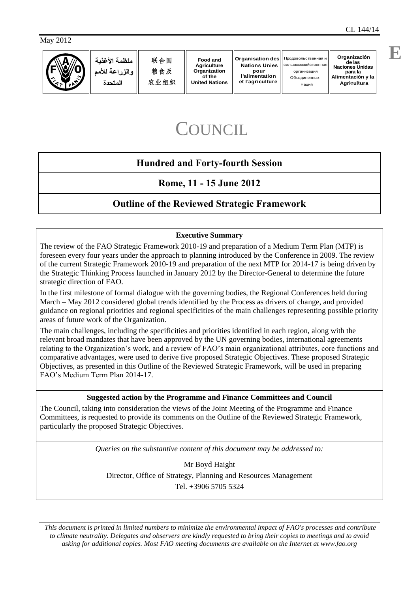May 2012



# COUNCIL

# **Hundred and Forty-fourth Session**

# **Rome, 11 - 15 June 2012**

# **Outline of the Reviewed Strategic Framework**

## **Executive Summary**

The review of the FAO Strategic Framework 2010-19 and preparation of a Medium Term Plan (MTP) is foreseen every four years under the approach to planning introduced by the Conference in 2009. The review of the current Strategic Framework 2010-19 and preparation of the next MTP for 2014-17 is being driven by the Strategic Thinking Process launched in January 2012 by the Director-General to determine the future strategic direction of FAO.

In the first milestone of formal dialogue with the governing bodies, the Regional Conferences held during March – May 2012 considered global trends identified by the Process as drivers of change, and provided guidance on regional priorities and regional specificities of the main challenges representing possible priority areas of future work of the Organization.

The main challenges, including the specificities and priorities identified in each region, along with the relevant broad mandates that have been approved by the UN governing bodies, international agreements relating to the Organization's work, and a review of FAO's main organizational attributes, core functions and comparative advantages, were used to derive five proposed Strategic Objectives. These proposed Strategic Objectives, as presented in this Outline of the Reviewed Strategic Framework, will be used in preparing FAO's Medium Term Plan 2014-17.

## **Suggested action by the Programme and Finance Committees and Council**

The Council, taking into consideration the views of the Joint Meeting of the Programme and Finance Committees, is requested to provide its comments on the Outline of the Reviewed Strategic Framework, particularly the proposed Strategic Objectives.

*Queries on the substantive content of this document may be addressed to:*

Mr Boyd Haight Director, Office of Strategy, Planning and Resources Management Tel. +3906 5705 5324

*This document is printed in limited numbers to minimize the environmental impact of FAO's processes and contribute to climate neutrality. Delegates and observers are kindly requested to bring their copies to meetings and to avoid asking for additional copies. Most FAO meeting documents are available on the Internet at www.fao.org*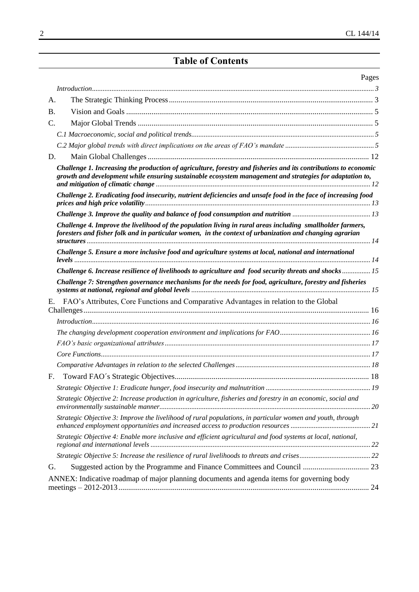# **Table of Contents**

| Pages                                                                                                                                                                                                                       |  |
|-----------------------------------------------------------------------------------------------------------------------------------------------------------------------------------------------------------------------------|--|
|                                                                                                                                                                                                                             |  |
| А.                                                                                                                                                                                                                          |  |
| <b>B.</b>                                                                                                                                                                                                                   |  |
| C.                                                                                                                                                                                                                          |  |
|                                                                                                                                                                                                                             |  |
|                                                                                                                                                                                                                             |  |
| D.                                                                                                                                                                                                                          |  |
| Challenge 1. Increasing the production of agriculture, forestry and fisheries and its contributions to economic<br>growth and development while ensuring sustainable ecosystem management and strategies for adaptation to, |  |
| Challenge 2. Eradicating food insecurity, nutrient deficiencies and unsafe food in the face of increasing food                                                                                                              |  |
|                                                                                                                                                                                                                             |  |
| Challenge 4. Improve the livelihood of the population living in rural areas including smallholder farmers,<br>foresters and fisher folk and in particular women, in the context of urbanization and changing agrarian       |  |
| Challenge 5. Ensure a more inclusive food and agriculture systems at local, national and international                                                                                                                      |  |
| Challenge 6. Increase resilience of livelihoods to agriculture and food security threats and shocks  15                                                                                                                     |  |
| Challenge 7: Strengthen governance mechanisms for the needs for food, agriculture, forestry and fisheries                                                                                                                   |  |
| FAO's Attributes, Core Functions and Comparative Advantages in relation to the Global<br>E.                                                                                                                                 |  |
|                                                                                                                                                                                                                             |  |
|                                                                                                                                                                                                                             |  |
|                                                                                                                                                                                                                             |  |
|                                                                                                                                                                                                                             |  |
|                                                                                                                                                                                                                             |  |
|                                                                                                                                                                                                                             |  |
|                                                                                                                                                                                                                             |  |
| Strategic Objective 2: Increase production in agriculture, fisheries and forestry in an economic, social and                                                                                                                |  |
| Strategic Objective 3: Improve the livelihood of rural populations, in particular women and youth, through                                                                                                                  |  |
| Strategic Objective 4: Enable more inclusive and efficient agricultural and food systems at local, national,                                                                                                                |  |
|                                                                                                                                                                                                                             |  |
| G.                                                                                                                                                                                                                          |  |
| ANNEX: Indicative roadmap of major planning documents and agenda items for governing body                                                                                                                                   |  |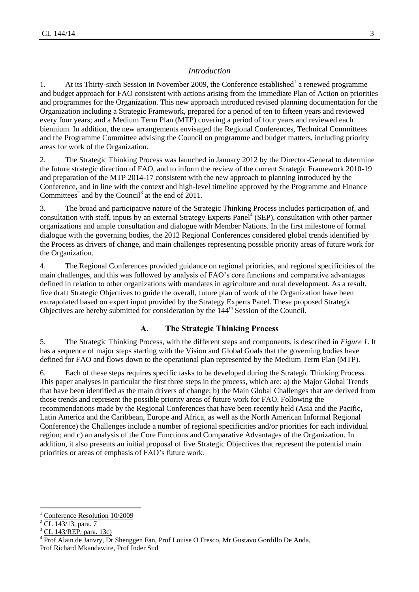#### *Introduction*

<span id="page-2-0"></span>1. At its Thirty-sixth Session in November 2009, the Conference established<sup>1</sup> a renewed programme and budget approach for FAO consistent with actions arising from the Immediate Plan of Action on priorities and programmes for the Organization. This new approach introduced revised planning documentation for the Organization including a Strategic Framework, prepared for a period of ten to fifteen years and reviewed every four years; and a Medium Term Plan (MTP) covering a period of four years and reviewed each biennium. In addition, the new arrangements envisaged the Regional Conferences, Technical Committees and the Programme Committee advising the Council on programme and budget matters, including priority areas for work of the Organization.

2. The Strategic Thinking Process was launched in January 2012 by the Director-General to determine the future strategic direction of FAO, and to inform the review of the current Strategic Framework 2010-19 and preparation of the MTP 2014-17 consistent with the new approach to planning introduced by the Conference, and in line with the context and high-level timeline approved by the Programme and Finance Committees<sup>2</sup> and by the Council<sup>3</sup> at the end of 2011.

3. The broad and participative nature of the Strategic Thinking Process includes participation of, and consultation with staff, inputs by an external Strategy Experts Panel<sup>4</sup> (SEP), consultation with other partner organizations and ample consultation and dialogue with Member Nations. In the first milestone of formal dialogue with the governing bodies, the 2012 Regional Conferences considered global trends identified by the Process as drivers of change, and main challenges representing possible priority areas of future work for the Organization.

4. The Regional Conferences provided guidance on regional priorities, and regional specificities of the main challenges, and this was followed by analysis of FAO's core functions and comparative advantages defined in relation to other organizations with mandates in agriculture and rural development. As a result, five draft Strategic Objectives to guide the overall, future plan of work of the Organization have been extrapolated based on expert input provided by the Strategy Experts Panel. These proposed Strategic Objectives are hereby submitted for consideration by the 144<sup>th</sup> Session of the Council.

#### **A. The Strategic Thinking Process**

<span id="page-2-1"></span>5. The Strategic Thinking Process, with the different steps and components, is described in *Figure 1*. It has a sequence of major steps starting with the Vision and Global Goals that the governing bodies have defined for FAO and flows down to the operational plan represented by the Medium Term Plan (MTP).

6. Each of these steps requires specific tasks to be developed during the Strategic Thinking Process. This paper analyses in particular the first three steps in the process, which are: a) the Major Global Trends that have been identified as the main drivers of change; b) the Main Global Challenges that are derived from those trends and represent the possible priority areas of future work for FAO. Following the recommendations made by the Regional Conferences that have been recently held (Asia and the Pacific, Latin America and the Caribbean, Europe and Africa, as well as the North American Informal Regional Conference) the Challenges include a number of regional specificities and/or priorities for each individual region; and c) an analysis of the Core Functions and Comparative Advantages of the Organization. In addition, it also presents an initial proposal of five Strategic Objectives that represent the potential main priorities or areas of emphasis of FAO's future work.

 $\overline{\phantom{a}}$ 

[Conference Resolution](http://www.fao.org/docrep/meeting/019/k6302e.pdf#page=60) 10/2009

<sup>2</sup> [CL 143/13, para. 7](http://www.fao.org/docrep/meeting/024/mc486e.pdf#page=3)

<sup>3</sup> [CL 143/REP, para. 13c\)](http://www.fao.org/docrep/meeting/024/mc783e.pdf#page=8)

<sup>4</sup> Prof Alain de Janvry, Dr Shenggen Fan, Prof Louise O Fresco, Mr Gustavo Gordillo De Anda, Prof Richard Mkandawire, Prof Inder Sud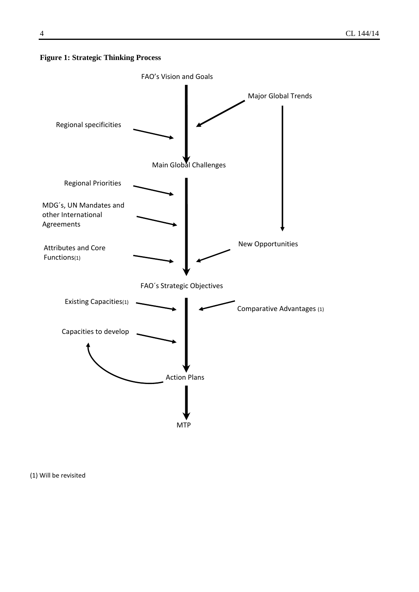#### **Figure 1: Strategic Thinking Process**



(1) Will be revisited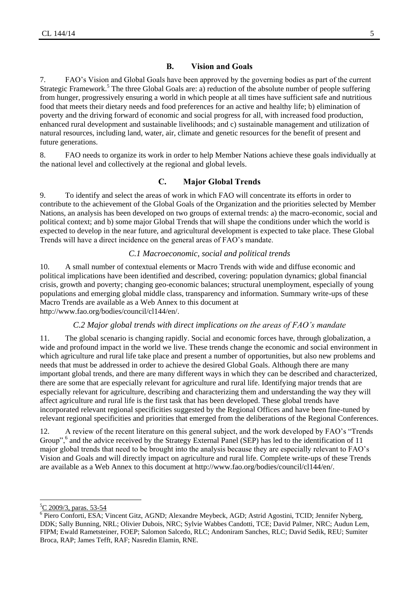## **B. Vision and Goals**

<span id="page-4-0"></span>7. FAO's Vision and Global Goals have been approved by the governing bodies as part of the current Strategic Framework.<sup>5</sup> The three Global Goals are: a) reduction of the absolute number of people suffering from hunger, progressively ensuring a world in which people at all times have sufficient safe and nutritious food that meets their dietary needs and food preferences for an active and healthy life; b) elimination of poverty and the driving forward of economic and social progress for all, with increased food production, enhanced rural development and sustainable livelihoods; and c) sustainable management and utilization of natural resources, including land, water, air, climate and genetic resources for the benefit of present and future generations.

<span id="page-4-1"></span>8. FAO needs to organize its work in order to help Member Nations achieve these goals individually at the national level and collectively at the regional and global levels.

## **C. Major Global Trends**

9. To identify and select the areas of work in which FAO will concentrate its efforts in order to contribute to the achievement of the Global Goals of the Organization and the priorities selected by Member Nations, an analysis has been developed on two groups of external trends: a) the macro-economic, social and political context; and b) some major Global Trends that will shape the conditions under which the world is expected to develop in the near future, and agricultural development is expected to take place. These Global Trends will have a direct incidence on the general areas of FAO's mandate.

#### *C.1 Macroeconomic, social and political trends*

<span id="page-4-2"></span>10. A small number of contextual elements or Macro Trends with wide and diffuse economic and political implications have been identified and described, covering: population dynamics; global financial crisis, growth and poverty; changing geo-economic balances; structural unemployment, especially of young populations and emerging global middle class, transparency and information. Summary write-ups of these Macro Trends are available as a Web Annex to this document at http://www.fao.org/bodies/council/cl144/en/.

#### *C.2 Major global trends with direct implications on the areas of FAO's mandate*

<span id="page-4-3"></span>11. The global scenario is changing rapidly. Social and economic forces have, through globalization, a wide and profound impact in the world we live. These trends change the economic and social environment in which agriculture and rural life take place and present a number of opportunities, but also new problems and needs that must be addressed in order to achieve the desired Global Goals. Although there are many important global trends, and there are many different ways in which they can be described and characterized, there are some that are especially relevant for agriculture and rural life. Identifying major trends that are especially relevant for agriculture, describing and characterizing them and understanding the way they will affect agriculture and rural life is the first task that has been developed. These global trends have incorporated relevant regional specificities suggested by the Regional Offices and have been fine-tuned by relevant regional specificities and priorities that emerged from the deliberations of the Regional Conferences.

12. A review of the recent literature on this general subject, and the work developed by FAO's "Trends Group",<sup>6</sup> and the advice received by the Strategy External Panel (SEP) has led to the identification of 11 major global trends that need to be brought into the analysis because they are especially relevant to FAO's Vision and Goals and will directly impact on agriculture and rural life. Complete write-ups of these Trends are available as a Web Annex to this document at http://www.fao.org/bodies/council/cl144/en/.

 $\overline{a}$ 

 ${}^{5}C$  2009/3, paras. 53-54

<sup>&</sup>lt;sup>6</sup> Piero Conforti, ESA; Vincent Gitz, AGND; Alexandre Meybeck, AGD; Astrid Agostini, TCID; Jennifer Nyberg, DDK; Sally Bunning, NRL; Olivier Dubois, NRC; Sylvie Wabbes Candotti, TCE; David Palmer, NRC; Audun Lem, FIPM; Ewald Rametsteiner, FOEP; Salomon Salcedo, RLC; Andoniram Sanches, RLC; David Sedik, REU; Sumiter Broca, RAP; James Tefft, RAF; Nasredin Elamin, RNE.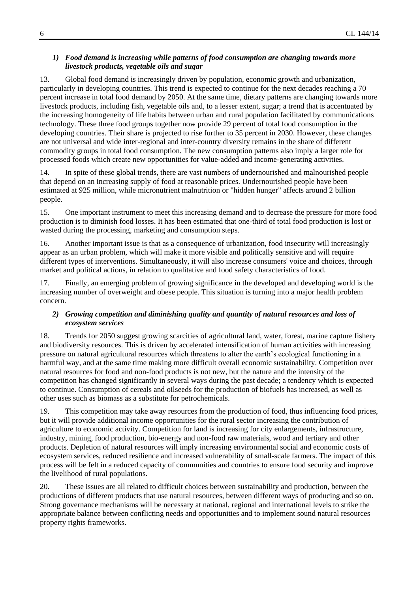#### *1) Food demand is increasing while patterns of food consumption are changing towards more livestock products, vegetable oils and sugar*

13. Global food demand is increasingly driven by population, economic growth and urbanization, particularly in developing countries. This trend is expected to continue for the next decades reaching a 70 percent increase in total food demand by 2050. At the same time, dietary patterns are changing towards more livestock products, including fish, vegetable oils and, to a lesser extent, sugar; a trend that is accentuated by the increasing homogeneity of life habits between urban and rural population facilitated by communications technology. These three food groups together now provide 29 percent of total food consumption in the developing countries. Their share is projected to rise further to 35 percent in 2030. However, these changes are not universal and wide inter-regional and inter-country diversity remains in the share of different commodity groups in total food consumption. The new consumption patterns also imply a larger role for processed foods which create new opportunities for value-added and income-generating activities.

14. In spite of these global trends, there are vast numbers of undernourished and malnourished people that depend on an increasing supply of food at reasonable prices. Undernourished people have been estimated at 925 million, while micronutrient malnutrition or "hidden hunger" affects around 2 billion people.

15. One important instrument to meet this increasing demand and to decrease the pressure for more food production is to diminish food losses. It has been estimated that one-third of total food production is lost or wasted during the processing, marketing and consumption steps.

16. Another important issue is that as a consequence of urbanization, food insecurity will increasingly appear as an urban problem, which will make it more visible and politically sensitive and will require different types of interventions. Simultaneously, it will also increase consumers' voice and choices, through market and political actions, in relation to qualitative and food safety characteristics of food.

17. Finally, an emerging problem of growing significance in the developed and developing world is the increasing number of overweight and obese people. This situation is turning into a major health problem concern.

#### *2) Growing competition and diminishing quality and quantity of natural resources and loss of ecosystem services*

18. Trends for 2050 suggest growing scarcities of agricultural land, water, forest, marine capture fishery and biodiversity resources. This is driven by accelerated intensification of human activities with increasing pressure on natural agricultural resources which threatens to alter the earth's ecological functioning in a harmful way, and at the same time making more difficult overall economic sustainability. Competition over natural resources for food and non-food products is not new, but the nature and the intensity of the competition has changed significantly in several ways during the past decade; a tendency which is expected to continue. Consumption of cereals and oilseeds for the production of biofuels has increased, as well as other uses such as biomass as a substitute for petrochemicals.

19. This competition may take away resources from the production of food, thus influencing food prices, but it will provide additional income opportunities for the rural sector increasing the contribution of agriculture to economic activity. Competition for land is increasing for city enlargements, infrastructure, industry, mining, food production, bio-energy and non-food raw materials, wood and tertiary and other products. Depletion of natural resources will imply increasing environmental social and economic costs of ecosystem services, reduced resilience and increased vulnerability of small-scale farmers. The impact of this process will be felt in a reduced capacity of communities and countries to ensure food security and improve the livelihood of rural populations.

20. These issues are all related to difficult choices between sustainability and production, between the productions of different products that use natural resources, between different ways of producing and so on. Strong governance mechanisms will be necessary at national, regional and international levels to strike the appropriate balance between conflicting needs and opportunities and to implement sound natural resources property rights frameworks.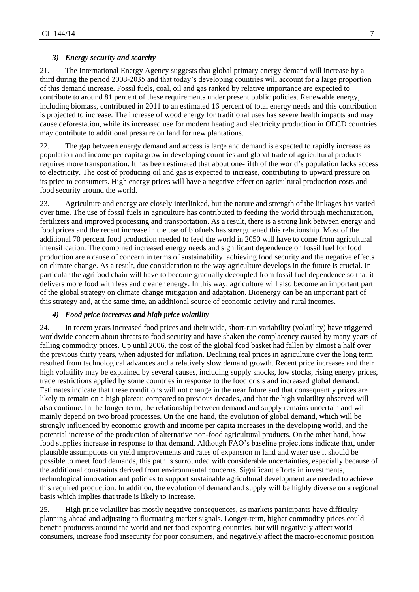#### *3) Energy security and scarcity*

21. The International Energy Agency suggests that global primary energy demand will increase by a third during the period 2008-2035 and that today's developing countries will account for a large proportion of this demand increase. Fossil fuels, coal, oil and gas ranked by relative importance are expected to contribute to around 81 percent of these requirements under present public policies. Renewable energy, including biomass, contributed in 2011 to an estimated 16 percent of total energy needs and this contribution is projected to increase. The increase of wood energy for traditional uses has severe health impacts and may cause deforestation, while its increased use for modern heating and electricity production in OECD countries may contribute to additional pressure on land for new plantations.

22. The gap between energy demand and access is large and demand is expected to rapidly increase as population and income per capita grow in developing countries and global trade of agricultural products requires more transportation. It has been estimated that about one-fifth of the world's population lacks access to electricity. The cost of producing oil and gas is expected to increase, contributing to upward pressure on its price to consumers. High energy prices will have a negative effect on agricultural production costs and food security around the world.

23. Agriculture and energy are closely interlinked, but the nature and strength of the linkages has varied over time. The use of fossil fuels in agriculture has contributed to feeding the world through mechanization, fertilizers and improved processing and transportation. As a result, there is a strong link between energy and food prices and the recent increase in the use of biofuels has strengthened this relationship. Most of the additional 70 percent food production needed to feed the world in 2050 will have to come from agricultural intensification. The combined increased energy needs and significant dependence on fossil fuel for food production are a cause of concern in terms of sustainability, achieving food security and the negative effects on climate change. As a result, due consideration to the way agriculture develops in the future is crucial. In particular the agrifood chain will have to become gradually decoupled from fossil fuel dependence so that it delivers more food with less and cleaner energy. In this way, agriculture will also become an important part of the global strategy on climate change mitigation and adaptation. Bioenergy can be an important part of this strategy and, at the same time, an additional source of economic activity and rural incomes.

#### *4) Food price increases and high price volatility*

24. In recent years increased food prices and their wide, short-run variability (volatility) have triggered worldwide concern about threats to food security and have shaken the complacency caused by many years of falling commodity prices. Up until 2006, the cost of the global food basket had fallen by almost a half over the previous thirty years, when adjusted for inflation. Declining real prices in agriculture over the long term resulted from technological advances and a relatively slow demand growth. Recent price increases and their high volatility may be explained by several causes, including supply shocks, low stocks, rising energy prices, trade restrictions applied by some countries in response to the food crisis and increased global demand. Estimates indicate that these conditions will not change in the near future and that consequently prices are likely to remain on a high plateau compared to previous decades, and that the high volatility observed will also continue. In the longer term, the relationship between demand and supply remains uncertain and will mainly depend on two broad processes. On the one hand, the evolution of global demand, which will be strongly influenced by economic growth and income per capita increases in the developing world, and the potential increase of the production of alternative non-food agricultural products. On the other hand, how food supplies increase in response to that demand. Although FAO's baseline projections indicate that, under plausible assumptions on yield improvements and rates of expansion in land and water use it should be possible to meet food demands, this path is surrounded with considerable uncertainties, especially because of the additional constraints derived from environmental concerns. Significant efforts in investments, technological innovation and policies to support sustainable agricultural development are needed to achieve this required production. In addition, the evolution of demand and supply will be highly diverse on a regional basis which implies that trade is likely to increase.

25. High price volatility has mostly negative consequences, as markets participants have difficulty planning ahead and adjusting to fluctuating market signals. Longer-term, higher commodity prices could benefit producers around the world and net food exporting countries, but will negatively affect world consumers, increase food insecurity for poor consumers, and negatively affect the macro-economic position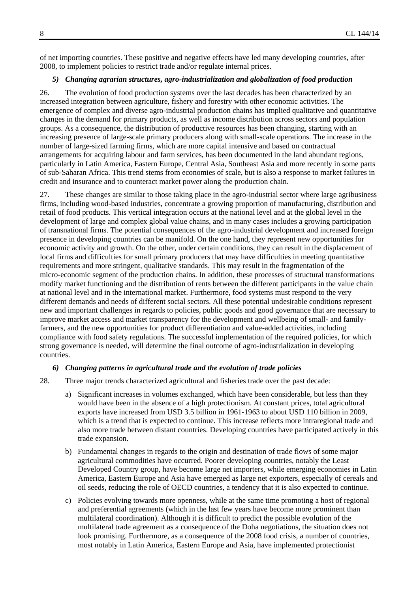of net importing countries. These positive and negative effects have led many developing countries, after 2008, to implement policies to restrict trade and/or regulate internal prices.

#### *5) Changing agrarian structures, agro-industrialization and globalization of food production*

26. The evolution of food production systems over the last decades has been characterized by an increased integration between agriculture, fishery and forestry with other economic activities. The emergence of complex and diverse agro-industrial production chains has implied qualitative and quantitative changes in the demand for primary products, as well as income distribution across sectors and population groups. As a consequence, the distribution of productive resources has been changing, starting with an increasing presence of large-scale primary producers along with small-scale operations. The increase in the number of large-sized farming firms, which are more capital intensive and based on contractual arrangements for acquiring labour and farm services, has been documented in the land abundant regions, particularly in Latin America, Eastern Europe, Central Asia, Southeast Asia and more recently in some parts of sub-Saharan Africa. This trend stems from economies of scale, but is also a response to market failures in credit and insurance and to counteract market power along the production chain.

27. These changes are similar to those taking place in the agro-industrial sector where large agribusiness firms, including wood-based industries, concentrate a growing proportion of manufacturing, distribution and retail of food products. This vertical integration occurs at the national level and at the global level in the development of large and complex global value chains, and in many cases includes a growing participation of transnational firms. The potential consequences of the agro-industrial development and increased foreign presence in developing countries can be manifold. On the one hand, they represent new opportunities for economic activity and growth. On the other, under certain conditions, they can result in the displacement of local firms and difficulties for small primary producers that may have difficulties in meeting quantitative requirements and more stringent, qualitative standards. This may result in the fragmentation of the micro-economic segment of the production chains. In addition, these processes of structural transformations modify market functioning and the distribution of rents between the different participants in the value chain at national level and in the international market. Furthermore, food systems must respond to the very different demands and needs of different social sectors. All these potential undesirable conditions represent new and important challenges in regards to policies, public goods and good governance that are necessary to improve market access and market transparency for the development and wellbeing of small- and familyfarmers, and the new opportunities for product differentiation and value-added activities, including compliance with food safety regulations. The successful implementation of the required policies, for which strong governance is needed, will determine the final outcome of agro-industrialization in developing countries.

#### *6) Changing patterns in agricultural trade and the evolution of trade policies*

- 28. Three major trends characterized agricultural and fisheries trade over the past decade:
	- a) Significant increases in volumes exchanged, which have been considerable, but less than they would have been in the absence of a high protectionism. At constant prices, total agricultural exports have increased from USD 3.5 billion in 1961-1963 to about USD 110 billion in 2009, which is a trend that is expected to continue. This increase reflects more intraregional trade and also more trade between distant countries. Developing countries have participated actively in this trade expansion.
	- b) Fundamental changes in regards to the origin and destination of trade flows of some major agricultural commodities have occurred. Poorer developing countries, notably the Least Developed Country group, have become large net importers, while emerging economies in Latin America, Eastern Europe and Asia have emerged as large net exporters, especially of cereals and oil seeds, reducing the role of OECD countries, a tendency that it is also expected to continue.
	- c) Policies evolving towards more openness, while at the same time promoting a host of regional and preferential agreements (which in the last few years have become more prominent than multilateral coordination). Although it is difficult to predict the possible evolution of the multilateral trade agreement as a consequence of the Doha negotiations, the situation does not look promising. Furthermore, as a consequence of the 2008 food crisis, a number of countries, most notably in Latin America, Eastern Europe and Asia, have implemented protectionist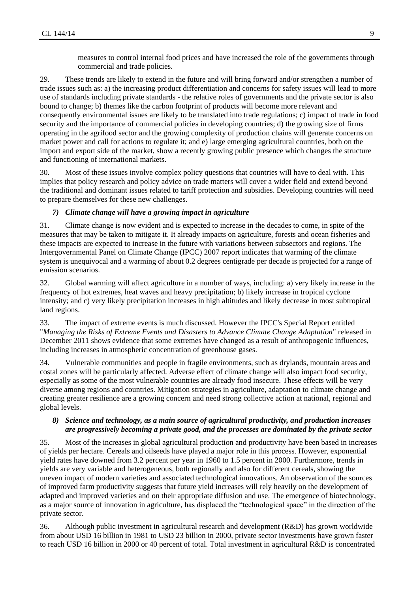measures to control internal food prices and have increased the role of the governments through commercial and trade policies.

29. These trends are likely to extend in the future and will bring forward and/or strengthen a number of trade issues such as: a) the increasing product differentiation and concerns for safety issues will lead to more use of standards including private standards - the relative roles of governments and the private sector is also bound to change; b) themes like the carbon footprint of products will become more relevant and consequently environmental issues are likely to be translated into trade regulations; c) impact of trade in food security and the importance of commercial policies in developing countries; d) the growing size of firms operating in the agrifood sector and the growing complexity of production chains will generate concerns on market power and call for actions to regulate it; and e) large emerging agricultural countries, both on the import and export side of the market, show a recently growing public presence which changes the structure and functioning of international markets.

30. Most of these issues involve complex policy questions that countries will have to deal with. This implies that policy research and policy advice on trade matters will cover a wider field and extend beyond the traditional and dominant issues related to tariff protection and subsidies. Developing countries will need to prepare themselves for these new challenges.

#### *7) Climate change will have a growing impact in agriculture*

31. Climate change is now evident and is expected to increase in the decades to come, in spite of the measures that may be taken to mitigate it. It already impacts on agriculture, forests and ocean fisheries and these impacts are expected to increase in the future with variations between subsectors and regions. The Intergovernmental Panel on Climate Change (IPCC) 2007 report indicates that warming of the climate system is unequivocal and a warming of about 0.2 degrees centigrade per decade is projected for a range of emission scenarios.

32. Global warming will affect agriculture in a number of ways, including: a) very likely increase in the frequency of hot extremes, heat waves and heavy precipitation; b) likely increase in tropical cyclone intensity; and c) very likely precipitation increases in high altitudes and likely decrease in most subtropical land regions.

33. The impact of extreme events is much discussed. However the IPCC's Special Report entitled "*Managing the Risks of Extreme Events and Disasters to Advance Climate Change Adaptation*" released in December 2011 shows evidence that some extremes have changed as a result of anthropogenic influences, including increases in atmospheric concentration of greenhouse gases.

34. Vulnerable communities and people in fragile environments, such as drylands, mountain areas and costal zones will be particularly affected. Adverse effect of climate change will also impact food security, especially as some of the most vulnerable countries are already food insecure. These effects will be very diverse among regions and countries. Mitigation strategies in agriculture, adaptation to climate change and creating greater resilience are a growing concern and need strong collective action at national, regional and global levels.

#### *8) Science and technology, as a main source of agricultural productivity, and production increases are progressively becoming a private good, and the processes are dominated by the private sector*

35. Most of the increases in global agricultural production and productivity have been based in increases of yields per hectare. Cereals and oilseeds have played a major role in this process. However, exponential yield rates have downed from 3.2 percent per year in 1960 to 1.5 percent in 2000. Furthermore, trends in yields are very variable and heterogeneous, both regionally and also for different cereals, showing the uneven impact of modern varieties and associated technological innovations. An observation of the sources of improved farm productivity suggests that future yield increases will rely heavily on the development of adapted and improved varieties and on their appropriate diffusion and use. The emergence of biotechnology, as a major source of innovation in agriculture, has displaced the "technological space" in the direction of the private sector.

36. Although public investment in agricultural research and development (R&D) has grown worldwide from about USD 16 billion in 1981 to USD 23 billion in 2000, private sector investments have grown faster to reach USD 16 billion in 2000 or 40 percent of total. Total investment in agricultural R&D is concentrated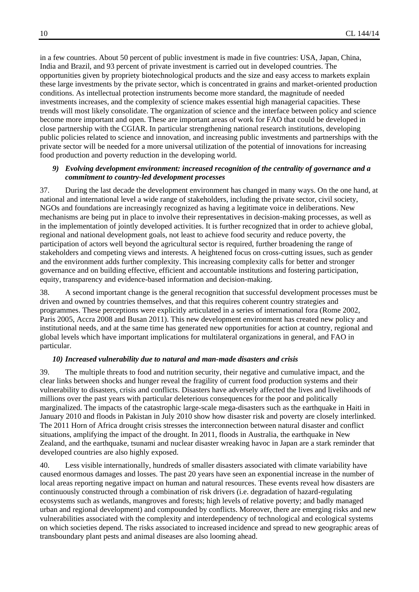in a few countries. About 50 percent of public investment is made in five countries: USA, Japan, China, India and Brazil, and 93 percent of private investment is carried out in developed countries. The opportunities given by propriety biotechnological products and the size and easy access to markets explain these large investments by the private sector, which is concentrated in grains and market-oriented production conditions. As intellectual protection instruments become more standard, the magnitude of needed investments increases, and the complexity of science makes essential high managerial capacities. These trends will most likely consolidate. The organization of science and the interface between policy and science become more important and open. These are important areas of work for FAO that could be developed in close partnership with the CGIAR. In particular strengthening national research institutions, developing public policies related to science and innovation, and increasing public investments and partnerships with the private sector will be needed for a more universal utilization of the potential of innovations for increasing food production and poverty reduction in the developing world.

#### *9) Evolving development environment: increased recognition of the centrality of governance and a commitment to country-led development processes*

37. During the last decade the development environment has changed in many ways. On the one hand, at national and international level a wide range of stakeholders, including the private sector, civil society, NGOs and foundations are increasingly recognized as having a legitimate voice in deliberations. New mechanisms are being put in place to involve their representatives in decision-making processes, as well as in the implementation of jointly developed activities. It is further recognized that in order to achieve global, regional and national development goals, not least to achieve food security and reduce poverty, the participation of actors well beyond the agricultural sector is required, further broadening the range of stakeholders and competing views and interests. A heightened focus on cross-cutting issues, such as gender and the environment adds further complexity. This increasing complexity calls for better and stronger governance and on building effective, efficient and accountable institutions and fostering participation, equity, transparency and evidence-based information and decision-making.

38. A second important change is the general recognition that successful development processes must be driven and owned by countries themselves, and that this requires coherent country strategies and programmes. These perceptions were explicitly articulated in a series of international fora (Rome 2002, Paris 2005, Accra 2008 and Busan 2011). This new development environment has created new policy and institutional needs, and at the same time has generated new opportunities for action at country, regional and global levels which have important implications for multilateral organizations in general, and FAO in particular.

#### *10) Increased vulnerability due to natural and man-made disasters and crisis*

39. The multiple threats to food and nutrition security, their negative and cumulative impact, and the clear links between shocks and hunger reveal the fragility of current food production systems and their vulnerability to disasters, crisis and conflicts. Disasters have adversely affected the lives and livelihoods of millions over the past years with particular deleterious consequences for the poor and politically marginalized. The impacts of the catastrophic large-scale mega-disasters such as the earthquake in Haiti in January 2010 and floods in Pakistan in July 2010 show how disaster risk and poverty are closely interlinked. The 2011 Horn of Africa drought crisis stresses the interconnection between natural disaster and conflict situations, amplifying the impact of the drought. In 2011, floods in Australia, the earthquake in New Zealand, and the earthquake, tsunami and nuclear disaster wreaking havoc in Japan are a stark reminder that developed countries are also highly exposed.

40. Less visible internationally, hundreds of smaller disasters associated with climate variability have caused enormous damages and losses. The past 20 years have seen an exponential increase in the number of local areas reporting negative impact on human and natural resources. These events reveal how disasters are continuously constructed through a combination of risk drivers (i.e. degradation of hazard-regulating ecosystems such as wetlands, mangroves and forests; high levels of relative poverty; and badly managed urban and regional development) and compounded by conflicts. Moreover, there are emerging risks and new vulnerabilities associated with the complexity and interdependency of technological and ecological systems on which societies depend. The risks associated to increased incidence and spread to new geographic areas of transboundary plant pests and animal diseases are also looming ahead.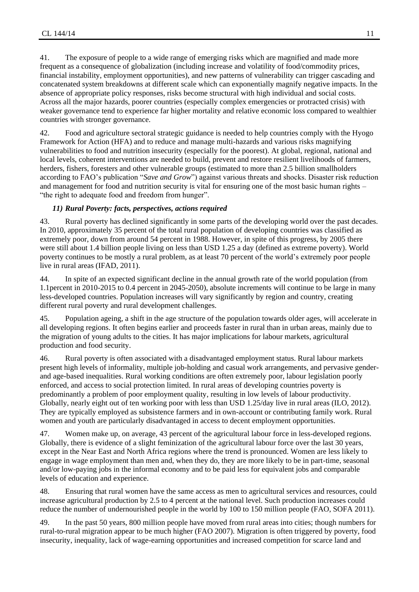41. The exposure of people to a wide range of emerging risks which are magnified and made more frequent as a consequence of globalization (including increase and volatility of food/commodity prices, financial instability, employment opportunities), and new patterns of vulnerability can trigger cascading and concatenated system breakdowns at different scale which can exponentially magnify negative impacts. In the absence of appropriate policy responses, risks become structural with high individual and social costs. Across all the major hazards, poorer countries (especially complex emergencies or protracted crisis) with weaker governance tend to experience far higher mortality and relative economic loss compared to wealthier countries with stronger governance.

42. Food and agriculture sectoral strategic guidance is needed to help countries comply with the Hyogo Framework for Action (HFA) and to reduce and manage multi-hazards and various risks magnifying vulnerabilities to food and nutrition insecurity (especially for the poorest). At global, regional, national and local levels, coherent interventions are needed to build, prevent and restore resilient livelihoods of farmers, herders, fishers, foresters and other vulnerable groups (estimated to more than 2.5 billion smallholders according to FAO's publication "*Save and Grow*") against various threats and shocks. Disaster risk reduction and management for food and nutrition security is vital for ensuring one of the most basic human rights – "the right to adequate food and freedom from hunger".

#### *11) Rural Poverty: facts, perspectives, actions required*

43. Rural poverty has declined significantly in some parts of the developing world over the past decades. In 2010, approximately 35 percent of the total rural population of developing countries was classified as extremely poor, down from around 54 percent in 1988. However, in spite of this progress, by 2005 there were still about 1.4 billion people living on less than USD 1.25 a day (defined as extreme poverty). World poverty continues to be mostly a rural problem, as at least 70 percent of the world's extremely poor people live in rural areas (IFAD, 2011).

44. In spite of an expected significant decline in the annual growth rate of the world population (from 1.1percent in 2010-2015 to 0.4 percent in 2045-2050), absolute increments will continue to be large in many less-developed countries. Population increases will vary significantly by region and country, creating different rural poverty and rural development challenges.

45. Population ageing, a shift in the age structure of the population towards older ages, will accelerate in all developing regions. It often begins earlier and proceeds faster in rural than in urban areas, mainly due to the migration of young adults to the cities. It has major implications for labour markets, agricultural production and food security.

46. Rural poverty is often associated with a disadvantaged employment status. Rural labour markets present high levels of informality, multiple job-holding and casual work arrangements, and pervasive genderand age-based inequalities. Rural working conditions are often extremely poor, labour legislation poorly enforced, and access to social protection limited. In rural areas of developing countries poverty is predominantly a problem of poor employment quality, resulting in low levels of labour productivity. Globally, nearly eight out of ten working poor with less than USD 1.25/day live in rural areas (ILO, 2012). They are typically employed as subsistence farmers and in own-account or contributing family work. Rural women and youth are particularly disadvantaged in access to decent employment opportunities.

47. Women make up, on average, 43 percent of the agricultural labour force in less-developed regions. Globally, there is evidence of a slight feminization of the agricultural labour force over the last 30 years, except in the Near East and North Africa regions where the trend is pronounced. Women are less likely to engage in wage employment than men and, when they do, they are more likely to be in part-time, seasonal and/or low-paying jobs in the informal economy and to be paid less for equivalent jobs and comparable levels of education and experience.

48. Ensuring that rural women have the same access as men to agricultural services and resources, could increase agricultural production by 2.5 to 4 percent at the national level. Such production increases could reduce the number of undernourished people in the world by 100 to 150 million people (FAO, SOFA 2011).

49. In the past 50 years, 800 million people have moved from rural areas into cities; though numbers for rural-to-rural migration appear to be much higher (FAO 2007). Migration is often triggered by poverty, food insecurity, inequality, lack of wage-earning opportunities and increased competition for scarce land and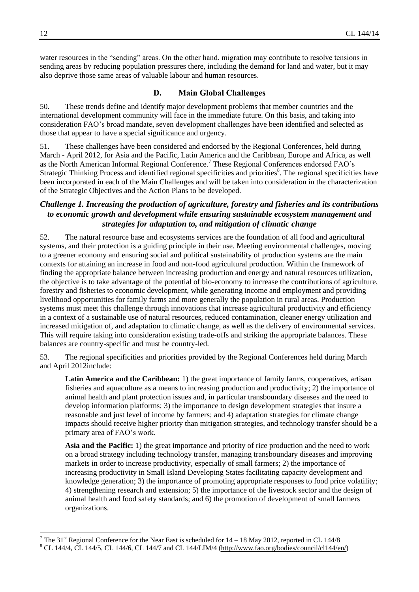water resources in the "sending" areas. On the other hand, migration may contribute to resolve tensions in sending areas by reducing population pressures there, including the demand for land and water, but it may also deprive those same areas of valuable labour and human resources.

#### **D. Main Global Challenges**

<span id="page-11-0"></span>50. These trends define and identify major development problems that member countries and the international development community will face in the immediate future. On this basis, and taking into consideration FAO's broad mandate, seven development challenges have been identified and selected as those that appear to have a special significance and urgency.

51. These challenges have been considered and endorsed by the Regional Conferences, held during March - April 2012, for Asia and the Pacific, Latin America and the Caribbean, Europe and Africa, as well as the North American Informal Regional Conference.<sup>7</sup> These Regional Conferences endorsed FAO's Strategic Thinking Process and identified regional specificities and priorities<sup>8</sup>. The regional specificities have been incorporated in each of the Main Challenges and will be taken into consideration in the characterization of the Strategic Objectives and the Action Plans to be developed.

## <span id="page-11-1"></span>*Challenge 1. Increasing the production of agriculture, forestry and fisheries and its contributions to economic growth and development while ensuring sustainable ecosystem management and strategies for adaptation to, and mitigation of climatic change*

52. The natural resource base and ecosystems services are the foundation of all food and agricultural systems, and their protection is a guiding principle in their use. Meeting environmental challenges, moving to a greener economy and ensuring social and political sustainability of production systems are the main contexts for attaining an increase in food and non-food agricultural production. Within the framework of finding the appropriate balance between increasing production and energy and natural resources utilization, the objective is to take advantage of the potential of bio-economy to increase the contributions of agriculture, forestry and fisheries to economic development, while generating income and employment and providing livelihood opportunities for family farms and more generally the population in rural areas. Production systems must meet this challenge through innovations that increase agricultural productivity and efficiency in a context of a sustainable use of natural resources, reduced contamination, cleaner energy utilization and increased mitigation of, and adaptation to climatic change, as well as the delivery of environmental services. This will require taking into consideration existing trade-offs and striking the appropriate balances. These balances are country-specific and must be country-led.

53. The regional specificities and priorities provided by the Regional Conferences held during March and April 2012include:

**Latin America and the Caribbean:** 1) the great importance of family farms, cooperatives, artisan fisheries and aquaculture as a means to increasing production and productivity; 2) the importance of animal health and plant protection issues and, in particular transboundary diseases and the need to develop information platforms; 3) the importance to design development strategies that insure a reasonable and just level of income by farmers; and 4) adaptation strategies for climate change impacts should receive higher priority than mitigation strategies, and technology transfer should be a primary area of FAO's work.

**Asia and the Pacific:** 1) the great importance and priority of rice production and the need to work on a broad strategy including technology transfer, managing transboundary diseases and improving markets in order to increase productivity, especially of small farmers; 2) the importance of increasing productivity in Small Island Developing States facilitating capacity development and knowledge generation; 3) the importance of promoting appropriate responses to food price volatility; 4) strengthening research and extension; 5) the importance of the livestock sector and the design of animal health and food safety standards; and 6) the promotion of development of small farmers organizations.

 $\overline{\phantom{a}}$ 

<sup>&</sup>lt;sup>7</sup> The 31<sup>st</sup> Regional Conference for the Near East is scheduled for  $14 - 18$  May 2012, reported in CL 144/8

<sup>&</sup>lt;sup>8</sup> CL 144/4, CL 144/5, CL 144/6, CL 144/7 and CL 144/LIM/4 [\(http://www.fao.org/bodies/council/cl144/en/\)](http://www.fao.org/bodies/council/cl144/en/)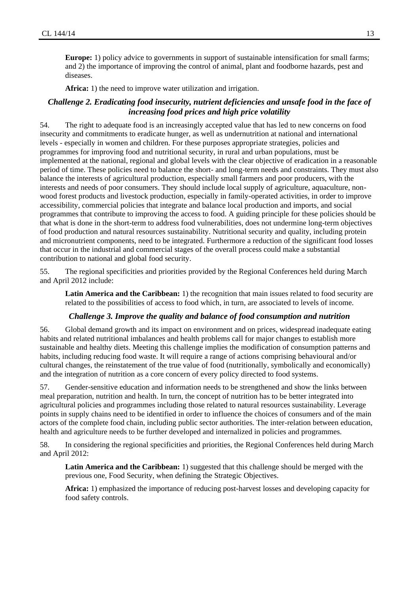**Europe:** 1) policy advice to governments in support of sustainable intensification for small farms; and 2) the importance of improving the control of animal, plant and foodborne hazards, pest and diseases.

**Africa:** 1) the need to improve water utilization and irrigation.

#### <span id="page-12-0"></span>*Challenge 2. Eradicating food insecurity, nutrient deficiencies and unsafe food in the face of increasing food prices and high price volatility*

54. The right to adequate food is an increasingly accepted value that has led to new concerns on food insecurity and commitments to eradicate hunger, as well as undernutrition at national and international levels - especially in women and children. For these purposes appropriate strategies, policies and programmes for improving food and nutritional security, in rural and urban populations, must be implemented at the national, regional and global levels with the clear objective of eradication in a reasonable period of time. These policies need to balance the short- and long-term needs and constraints. They must also balance the interests of agricultural production, especially small farmers and poor producers, with the interests and needs of poor consumers. They should include local supply of agriculture, aquaculture, nonwood forest products and livestock production, especially in family-operated activities, in order to improve accessibility, commercial policies that integrate and balance local production and imports, and social programmes that contribute to improving the access to food. A guiding principle for these policies should be that what is done in the short-term to address food vulnerabilities, does not undermine long-term objectives of food production and natural resources sustainability. Nutritional security and quality, including protein and micronutrient components, need to be integrated. Furthermore a reduction of the significant food losses that occur in the industrial and commercial stages of the overall process could make a substantial contribution to national and global food security.

55. The regional specificities and priorities provided by the Regional Conferences held during March and April 2012 include:

**Latin America and the Caribbean:** 1) the recognition that main issues related to food security are related to the possibilities of access to food which, in turn, are associated to levels of income.

#### *Challenge 3. Improve the quality and balance of food consumption and nutrition*

<span id="page-12-1"></span>56. Global demand growth and its impact on environment and on prices, widespread inadequate eating habits and related nutritional imbalances and health problems call for major changes to establish more sustainable and healthy diets. Meeting this challenge implies the modification of consumption patterns and habits, including reducing food waste. It will require a range of actions comprising behavioural and/or cultural changes, the reinstatement of the true value of food (nutritionally, symbolically and economically) and the integration of nutrition as a core concern of every policy directed to food systems.

57. Gender-sensitive education and information needs to be strengthened and show the links between meal preparation, nutrition and health. In turn, the concept of nutrition has to be better integrated into agricultural policies and programmes including those related to natural resources sustainability. Leverage points in supply chains need to be identified in order to influence the choices of consumers and of the main actors of the complete food chain, including public sector authorities. The inter-relation between education, health and agriculture needs to be further developed and internalized in policies and programmes.

58. In considering the regional specificities and priorities, the Regional Conferences held during March and April 2012:

**Latin America and the Caribbean:** 1) suggested that this challenge should be merged with the previous one, Food Security, when defining the Strategic Objectives.

**Africa:** 1) emphasized the importance of reducing post-harvest losses and developing capacity for food safety controls.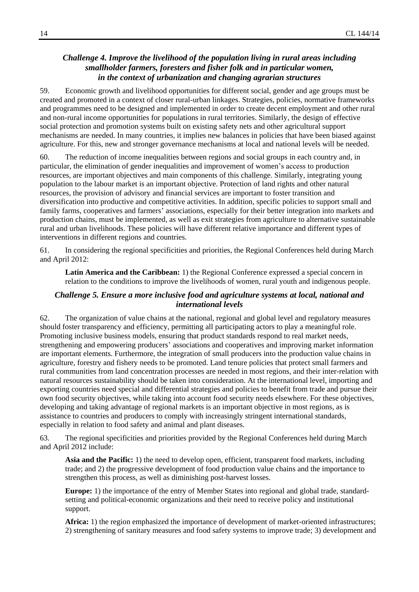## <span id="page-13-0"></span>*Challenge 4. Improve the livelihood of the population living in rural areas including smallholder farmers, foresters and fisher folk and in particular women, in the context of urbanization and changing agrarian structures*

59. Economic growth and livelihood opportunities for different social, gender and age groups must be created and promoted in a context of closer rural-urban linkages. Strategies, policies, normative frameworks and programmes need to be designed and implemented in order to create decent employment and other rural and non-rural income opportunities for populations in rural territories. Similarly, the design of effective social protection and promotion systems built on existing safety nets and other agricultural support mechanisms are needed. In many countries, it implies new balances in policies that have been biased against agriculture. For this, new and stronger governance mechanisms at local and national levels will be needed.

60. The reduction of income inequalities between regions and social groups in each country and, in particular, the elimination of gender inequalities and improvement of women's access to production resources, are important objectives and main components of this challenge. Similarly, integrating young population to the labour market is an important objective. Protection of land rights and other natural resources, the provision of advisory and financial services are important to foster transition and diversification into productive and competitive activities. In addition, specific policies to support small and family farms, cooperatives and farmers' associations, especially for their better integration into markets and production chains, must be implemented, as well as exit strategies from agriculture to alternative sustainable rural and urban livelihoods. These policies will have different relative importance and different types of interventions in different regions and countries.

61. In considering the regional specificities and priorities, the Regional Conferences held during March and April 2012:

**Latin America and the Caribbean:** 1) the Regional Conference expressed a special concern in relation to the conditions to improve the livelihoods of women, rural youth and indigenous people.

#### <span id="page-13-1"></span>*Challenge 5. Ensure a more inclusive food and agriculture systems at local, national and international levels*

62. The organization of value chains at the national, regional and global level and regulatory measures should foster transparency and efficiency, permitting all participating actors to play a meaningful role. Promoting inclusive business models, ensuring that product standards respond to real market needs, strengthening and empowering producers' associations and cooperatives and improving market information are important elements. Furthermore, the integration of small producers into the production value chains in agriculture, forestry and fishery needs to be promoted. Land tenure policies that protect small farmers and rural communities from land concentration processes are needed in most regions, and their inter-relation with natural resources sustainability should be taken into consideration. At the international level, importing and exporting countries need special and differential strategies and policies to benefit from trade and pursue their own food security objectives, while taking into account food security needs elsewhere. For these objectives, developing and taking advantage of regional markets is an important objective in most regions, as is assistance to countries and producers to comply with increasingly stringent international standards, especially in relation to food safety and animal and plant diseases.

63. The regional specificities and priorities provided by the Regional Conferences held during March and April 2012 include:

**Asia and the Pacific:** 1) the need to develop open, efficient, transparent food markets, including trade; and 2) the progressive development of food production value chains and the importance to strengthen this process, as well as diminishing post-harvest losses.

**Europe:** 1) the importance of the entry of Member States into regional and global trade, standardsetting and political-economic organizations and their need to receive policy and institutional support.

**Africa:** 1) the region emphasized the importance of development of market-oriented infrastructures; 2) strengthening of sanitary measures and food safety systems to improve trade; 3) development and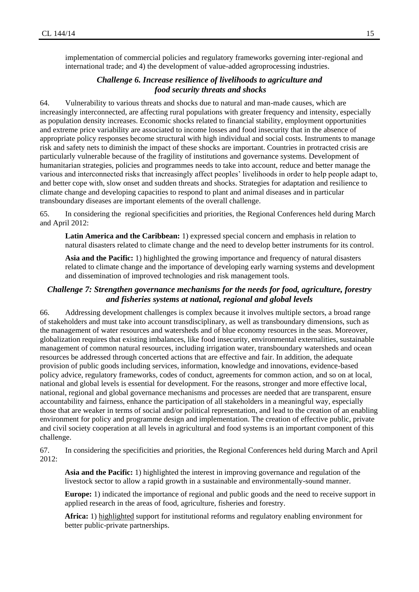implementation of commercial policies and regulatory frameworks governing inter-regional and international trade; and 4) the development of value-added agroprocessing industries.

## *Challenge 6. Increase resilience of livelihoods to agriculture and food security threats and shocks*

<span id="page-14-0"></span>64. Vulnerability to various threats and shocks due to natural and man-made causes, which are increasingly interconnected, are affecting rural populations with greater frequency and intensity, especially as population density increases. Economic shocks related to financial stability, employment opportunities and extreme price variability are associated to income losses and food insecurity that in the absence of appropriate policy responses become structural with high individual and social costs. Instruments to manage risk and safety nets to diminish the impact of these shocks are important. Countries in protracted crisis are particularly vulnerable because of the fragility of institutions and governance systems. Development of humanitarian strategies, policies and programmes needs to take into account, reduce and better manage the various and interconnected risks that increasingly affect peoples' livelihoods in order to help people adapt to, and better cope with, slow onset and sudden threats and shocks. Strategies for adaptation and resilience to climate change and developing capacities to respond to plant and animal diseases and in particular transboundary diseases are important elements of the overall challenge.

65. In considering the regional specificities and priorities, the Regional Conferences held during March and April 2012:

**Latin America and the Caribbean:** 1) expressed special concern and emphasis in relation to natural disasters related to climate change and the need to develop better instruments for its control.

**Asia and the Pacific:** 1) highlighted the growing importance and frequency of natural disasters related to climate change and the importance of developing early warning systems and development and dissemination of improved technologies and risk management tools.

## <span id="page-14-1"></span>*Challenge 7: Strengthen governance mechanisms for the needs for food, agriculture, forestry and fisheries systems at national, regional and global levels*

66. Addressing development challenges is complex because it involves multiple sectors, a broad range of stakeholders and must take into account transdisciplinary, as well as transboundary dimensions, such as the management of water resources and watersheds and of blue economy resources in the seas. Moreover, globalization requires that existing imbalances, like food insecurity, environmental externalities, sustainable management of common natural resources, including irrigation water, transboundary watersheds and ocean resources be addressed through concerted actions that are effective and fair. In addition, the adequate provision of public goods including services, information, knowledge and innovations, evidence-based policy advice, regulatory frameworks, codes of conduct, agreements for common action, and so on at local, national and global levels is essential for development. For the reasons, stronger and more effective local, national, regional and global governance mechanisms and processes are needed that are transparent, ensure accountability and fairness, enhance the participation of all stakeholders in a meaningful way, especially those that are weaker in terms of social and/or political representation, and lead to the creation of an enabling environment for policy and programme design and implementation. The creation of effective public, private and civil society cooperation at all levels in agricultural and food systems is an important component of this challenge.

67. In considering the specificities and priorities, the Regional Conferences held during March and April 2012:

**Asia and the Pacific:** 1) highlighted the interest in improving governance and regulation of the livestock sector to allow a rapid growth in a sustainable and environmentally-sound manner.

**Europe:** 1) indicated the importance of regional and public goods and the need to receive support in applied research in the areas of food, agriculture, fisheries and forestry.

**Africa:** 1) highlighted support for institutional reforms and regulatory enabling environment for better public-private partnerships.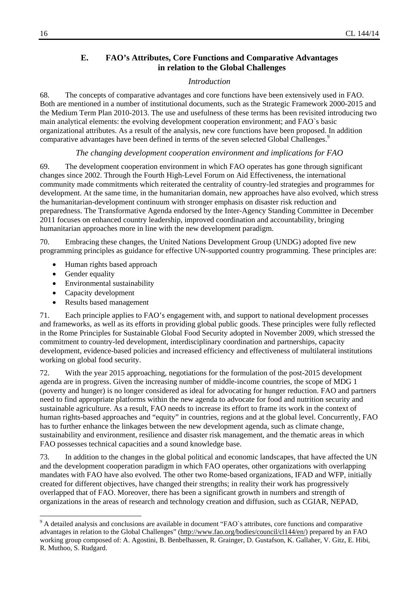## **E. FAO's Attributes, Core Functions and Comparative Advantages in relation to the Global Challenges**

## *Introduction*

68. The concepts of comparative advantages and core functions have been extensively used in FAO. Both are mentioned in a number of institutional documents, such as the Strategic Framework 2000-2015 and the Medium Term Plan 2010-2013. The use and usefulness of these terms has been revisited introducing two main analytical elements: the evolving development cooperation environment; and FAO`s basic organizational attributes. As a result of the analysis, new core functions have been proposed. In addition comparative advantages have been defined in terms of the seven selected Global Challenges.<sup>9</sup>

## *The changing development cooperation environment and implications for FAO*

69. The development cooperation environment in which FAO operates has gone through significant changes since 2002. Through the Fourth High-Level Forum on Aid Effectiveness, the international community made commitments which reiterated the centrality of country-led strategies and programmes for development. At the same time, in the humanitarian domain, new approaches have also evolved, which stress the humanitarian-development continuum with stronger emphasis on disaster risk reduction and preparedness. The Transformative Agenda endorsed by the Inter-Agency Standing Committee in December 2011 focuses on enhanced country leadership, improved coordination and accountability, bringing humanitarian approaches more in line with the new development paradigm.

70. Embracing these changes, the United Nations Development Group (UNDG) adopted five new programming principles as guidance for effective UN-supported country programming. These principles are:

- Human rights based approach
- Gender equality
- Environmental sustainability
- Capacity development
- Results based management

71. Each principle applies to FAO's engagement with, and support to national development processes and frameworks, as well as its efforts in providing global public goods. These principles were fully reflected in the Rome Principles for Sustainable Global Food Security adopted in November 2009, which stressed the commitment to country-led development, interdisciplinary coordination and partnerships, capacity development, evidence-based policies and increased efficiency and effectiveness of multilateral institutions working on global food security.

72. With the year 2015 approaching, negotiations for the formulation of the post-2015 development agenda are in progress. Given the increasing number of middle-income countries, the scope of MDG 1 (poverty and hunger) is no longer considered as ideal for advocating for hunger reduction. FAO and partners need to find appropriate platforms within the new agenda to advocate for food and nutrition security and sustainable agriculture. As a result, FAO needs to increase its effort to frame its work in the context of human rights-based approaches and "equity" in countries, regions and at the global level. Concurrently, FAO has to further enhance the linkages between the new development agenda, such as climate change, sustainability and environment, resilience and disaster risk management, and the thematic areas in which FAO possesses technical capacities and a sound knowledge base.

73. In addition to the changes in the global political and economic landscapes, that have affected the UN and the development cooperation paradigm in which FAO operates, other organizations with overlapping mandates with FAO have also evolved. The other two Rome-based organizations, IFAD and WFP, initially created for different objectives, have changed their strengths; in reality their work has progressively overlapped that of FAO. Moreover, there has been a significant growth in numbers and strength of organizations in the areas of research and technology creation and diffusion, such as CGIAR, NEPAD,

<sup>&</sup>lt;sup>9</sup> A detailed analysis and conclusions are available in document "FAO`s attributes, core functions and comparative advantages in relation to the Global Challenges" (http://www.fao.org/bodies/council/cl144/en/) prepared by an FAO working group composed of: A. Agostini, B. Benbelhassen, R. Grainger, D. Gustafson, K. Gallaher, V. Gitz, E. Hibi, R. Muthoo, S. Rudgard.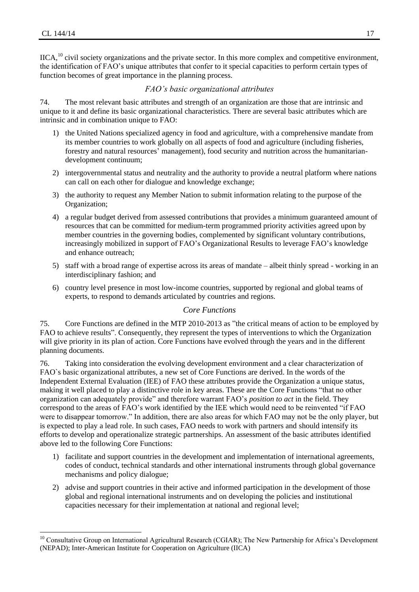$\overline{\phantom{a}}$ 

IICA,<sup>10</sup> civil society organizations and the private sector. In this more complex and competitive environment, the identification of FAO's unique attributes that confer to it special capacities to perform certain types of function becomes of great importance in the planning process.

## *FAO's basic organizational attributes*

<span id="page-16-0"></span>74. The most relevant basic attributes and strength of an organization are those that are intrinsic and unique to it and define its basic organizational characteristics. There are several basic attributes which are intrinsic and in combination unique to FAO:

- 1) the United Nations specialized agency in food and agriculture, with a comprehensive mandate from its member countries to work globally on all aspects of food and agriculture (including fisheries, forestry and natural resources' management), food security and nutrition across the humanitariandevelopment continuum;
- 2) intergovernmental status and neutrality and the authority to provide a neutral platform where nations can call on each other for dialogue and knowledge exchange;
- 3) the authority to request any Member Nation to submit information relating to the purpose of the Organization;
- 4) a regular budget derived from assessed contributions that provides a minimum guaranteed amount of resources that can be committed for medium-term programmed priority activities agreed upon by member countries in the governing bodies, complemented by significant voluntary contributions, increasingly mobilized in support of FAO's Organizational Results to leverage FAO's knowledge and enhance outreach;
- 5) staff with a broad range of expertise across its areas of mandate albeit thinly spread working in an interdisciplinary fashion; and
- 6) country level presence in most low-income countries, supported by regional and global teams of experts, to respond to demands articulated by countries and regions.

## *Core Functions*

<span id="page-16-1"></span>75. Core Functions are defined in the MTP 2010-2013 as "the critical means of action to be employed by FAO to achieve results". Consequently, they represent the types of interventions to which the Organization will give priority in its plan of action. Core Functions have evolved through the years and in the different planning documents.

76. Taking into consideration the evolving development environment and a clear characterization of FAO`s basic organizational attributes, a new set of Core Functions are derived. In the words of the Independent External Evaluation (IEE) of FAO these attributes provide the Organization a unique status, making it well placed to play a distinctive role in key areas. These are the Core Functions "that no other organization can adequately provide" and therefore warrant FAO's *position to act* in the field. They correspond to the areas of FAO's work identified by the IEE which would need to be reinvented "if FAO were to disappear tomorrow." In addition, there are also areas for which FAO may not be the only player, but is expected to play a lead role. In such cases, FAO needs to work with partners and should intensify its efforts to develop and operationalize strategic partnerships. An assessment of the basic attributes identified above led to the following Core Functions:

- 1) facilitate and support countries in the development and implementation of international agreements, codes of conduct, technical standards and other international instruments through global governance mechanisms and policy dialogue;
- 2) advise and support countries in their active and informed participation in the development of those global and regional international instruments and on developing the policies and institutional capacities necessary for their implementation at national and regional level;

<sup>&</sup>lt;sup>10</sup> Consultative Group on International Agricultural Research (CGIAR); The New Partnership for Africa's Development (NEPAD); Inter-American Institute for Cooperation on Agriculture (IICA)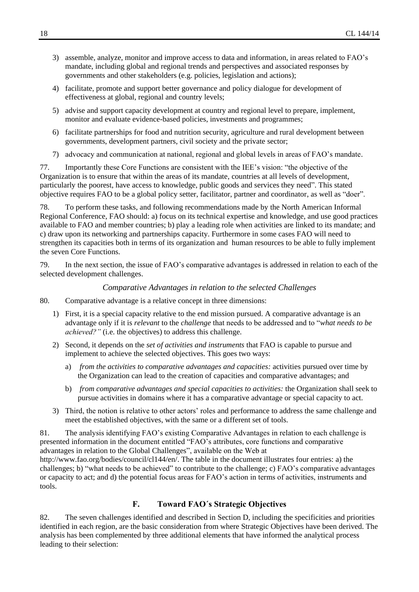- 3) assemble, analyze, monitor and improve access to data and information, in areas related to FAO's mandate, including global and regional trends and perspectives and associated responses by governments and other stakeholders (e.g. policies, legislation and actions);
- 4) facilitate, promote and support better governance and policy dialogue for development of effectiveness at global, regional and country levels;
- 5) advise and support capacity development at country and regional level to prepare, implement, monitor and evaluate evidence-based policies, investments and programmes;
- 6) facilitate partnerships for food and nutrition security, agriculture and rural development between governments, development partners, civil society and the private sector;
- 7) advocacy and communication at national, regional and global levels in areas of FAO's mandate.

77. Importantly these Core Functions are consistent with the IEE's vision: "the objective of the Organization is to ensure that within the areas of its mandate, countries at all levels of development, particularly the poorest, have access to knowledge, public goods and services they need". This stated objective requires FAO to be a global policy setter, facilitator, partner and coordinator, as well as "doer".

78. To perform these tasks, and following recommendations made by the North American Informal Regional Conference, FAO should: a) focus on its technical expertise and knowledge, and use good practices available to FAO and member countries; b) play a leading role when activities are linked to its mandate; and c) draw upon its networking and partnerships capacity. Furthermore in some cases FAO will need to strengthen its capacities both in terms of its organization and human resources to be able to fully implement the seven Core Functions.

<span id="page-17-0"></span>79. In the next section, the issue of FAO's comparative advantages is addressed in relation to each of the selected development challenges.

#### *Comparative Advantages in relation to the selected Challenges*

- 80. Comparative advantage is a relative concept in three dimensions:
	- 1) First, it is a special capacity relative to the end mission pursued. A comparative advantage is an advantage only if it is *relevant* to the *challenge* that needs to be addressed and to "*what needs to be achieved?"* (i.e. the objectives) to address this challenge.
	- 2) Second, it depends on the *set of activities and instruments* that FAO is capable to pursue and implement to achieve the selected objectives. This goes two ways:
		- a) *from the activities to comparative advantages and capacities:* activities pursued over time by the Organization can lead to the creation of capacities and comparative advantages; and
		- b) *from comparative advantages and special capacities to activities:* the Organization shall seek to pursue activities in domains where it has a comparative advantage or special capacity to act.
	- 3) Third, the notion is relative to other actors' roles and performance to address the same challenge and meet the established objectives, with the same or a different set of tools.

81. The analysis identifying FAO's existing Comparative Advantages in relation to each challenge is presented information in the document entitled "FAO's attributes, core functions and comparative advantages in relation to the Global Challenges", available on the Web at http://www.fao.org/bodies/council/cl144/en/. The table in the document illustrates four entries: a) the

challenges; b) "what needs to be achieved" to contribute to the challenge; c) FAO's comparative advantages or capacity to act; and d) the potential focus areas for FAO's action in terms of activities, instruments and tools.

## **F. Toward FAO´s Strategic Objectives**

<span id="page-17-1"></span>82. The seven challenges identified and described in Section D, including the specificities and priorities identified in each region, are the basic consideration from where Strategic Objectives have been derived. The analysis has been complemented by three additional elements that have informed the analytical process leading to their selection: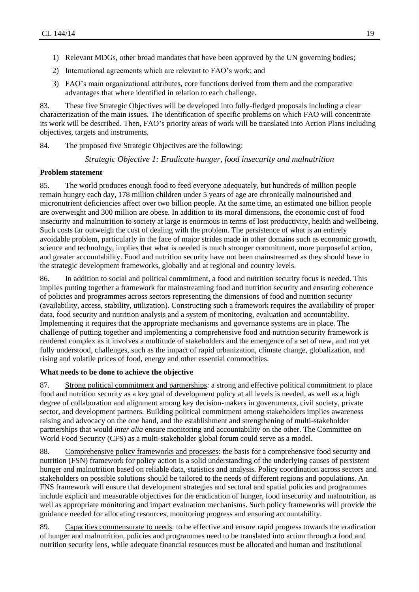- 1) Relevant MDGs, other broad mandates that have been approved by the UN governing bodies;
- 2) International agreements which are relevant to FAO's work; and
- 3) FAO's main organizational attributes, core functions derived from them and the comparative advantages that where identified in relation to each challenge.

83. These five Strategic Objectives will be developed into fully-fledged proposals including a clear characterization of the main issues. The identification of specific problems on which FAO will concentrate its work will be described. Then, FAO's priority areas of work will be translated into Action Plans including objectives, targets and instruments.

<span id="page-18-0"></span>84. The proposed five Strategic Objectives are the following:

*Strategic Objective 1: Eradicate hunger, food insecurity and malnutrition*

#### **Problem statement**

85. The world produces enough food to feed everyone adequately, but hundreds of million people remain hungry each day, 178 million children under 5 years of age are chronically malnourished and micronutrient deficiencies affect over two billion people. At the same time, an estimated one billion people are overweight and 300 million are obese. In addition to its moral dimensions, the economic cost of food insecurity and malnutrition to society at large is enormous in terms of lost productivity, health and wellbeing. Such costs far outweigh the cost of dealing with the problem. The persistence of what is an entirely avoidable problem, particularly in the face of major strides made in other domains such as economic growth, science and technology, implies that what is needed is much stronger commitment, more purposeful action, and greater accountability. Food and nutrition security have not been mainstreamed as they should have in the strategic development frameworks, globally and at regional and country levels.

86. In addition to social and political commitment, a food and nutrition security focus is needed. This implies putting together a framework for mainstreaming food and nutrition security and ensuring coherence of policies and programmes across sectors representing the dimensions of food and nutrition security (availability, access, stability, utilization). Constructing such a framework requires the availability of proper data, food security and nutrition analysis and a system of monitoring, evaluation and accountability. Implementing it requires that the appropriate mechanisms and governance systems are in place. The challenge of putting together and implementing a comprehensive food and nutrition security framework is rendered complex as it involves a multitude of stakeholders and the emergence of a set of new, and not yet fully understood, challenges, such as the impact of rapid urbanization, climate change, globalization, and rising and volatile prices of food, energy and other essential commodities.

## **What needs to be done to achieve the objective**

87. Strong political commitment and partnerships: a strong and effective political commitment to place food and nutrition security as a key goal of development policy at all levels is needed, as well as a high degree of collaboration and alignment among key decision-makers in governments, civil society, private sector, and development partners. Building political commitment among stakeholders implies awareness raising and advocacy on the one hand, and the establishment and strengthening of multi-stakeholder partnerships that would *inter alia* ensure monitoring and accountability on the other. The Committee on World Food Security (CFS) as a multi-stakeholder global forum could serve as a model.

88. Comprehensive policy frameworks and processes: the basis for a comprehensive food security and nutrition (FSN) framework for policy action is a solid understanding of the underlying causes of persistent hunger and malnutrition based on reliable data, statistics and analysis. Policy coordination across sectors and stakeholders on possible solutions should be tailored to the needs of different regions and populations. An FNS framework will ensure that development strategies and sectoral and spatial policies and programmes include explicit and measurable objectives for the eradication of hunger, food insecurity and malnutrition, as well as appropriate monitoring and impact evaluation mechanisms. Such policy frameworks will provide the guidance needed for allocating resources, monitoring progress and ensuring accountability.

89. Capacities commensurate to needs: to be effective and ensure rapid progress towards the eradication of hunger and malnutrition, policies and programmes need to be translated into action through a food and nutrition security lens, while adequate financial resources must be allocated and human and institutional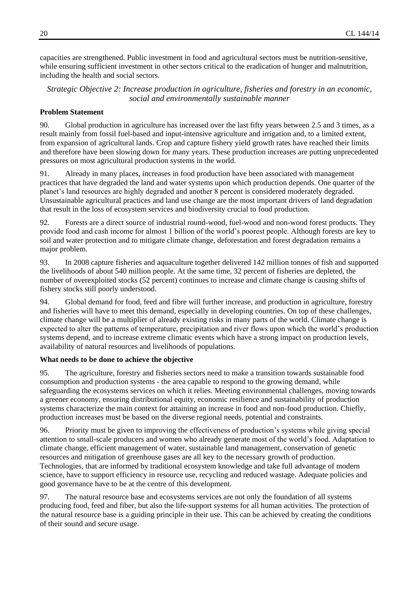capacities are strengthened. Public investment in food and agricultural sectors must be nutrition-sensitive, while ensuring sufficient investment in other sectors critical to the eradication of hunger and malnutrition, including the health and social sectors.

<span id="page-19-0"></span>*Strategic Objective 2: Increase production in agriculture, fisheries and forestry in an economic, social and environmentally sustainable manner*

#### **Problem Statement**

90. Global production in agriculture has increased over the last fifty years between 2.5 and 3 times, as a result mainly from fossil fuel-based and input-intensive agriculture and irrigation and, to a limited extent, from expansion of agricultural lands. Crop and capture fishery yield growth rates have reached their limits and therefore have been slowing down for many years. These production increases are putting unprecedented pressures on most agricultural production systems in the world.

91. Already in many places, increases in food production have been associated with management practices that have degraded the land and water systems upon which production depends. One quarter of the planet's land resources are highly degraded and another 8 percent is considered moderately degraded. Unsustainable agricultural practices and land use change are the most important drivers of land degradation that result in the loss of ecosystem services and biodiversity crucial to food production.

92. Forests are a direct source of industrial round-wood, fuel-wood and non-wood forest products. They provide food and cash income for almost 1 billion of the world's poorest people. Although forests are key to soil and water protection and to mitigate climate change, deforestation and forest degradation remains a major problem.

93. In 2008 capture fisheries and aquaculture together delivered 142 million tonnes of fish and supported the livelihoods of about 540 million people. At the same time, 32 percent of fisheries are depleted, the number of overexploited stocks (52 percent) continues to increase and climate change is causing shifts of fishery stocks still poorly understood.

94. Global demand for food, feed and fibre will further increase, and production in agriculture, forestry and fisheries will have to meet this demand, especially in developing countries. On top of these challenges, climate change will be a multiplier of already existing risks in many parts of the world. Climate change is expected to alter the patterns of temperature, precipitation and river flows upon which the world's production systems depend, and to increase extreme climatic events which have a strong impact on production levels, availability of natural resources and livelihoods of populations.

## **What needs to be done to achieve the objective**

95. The agriculture, forestry and fisheries sectors need to make a transition towards sustainable food consumption and production systems - the area capable to respond to the growing demand, while safeguarding the ecosystems services on which it relies. Meeting environmental challenges, moving towards a greener economy, ensuring distributional equity, economic resilience and sustainability of production systems characterize the main context for attaining an increase in food and non-food production. Chiefly, production increases must be based on the diverse regional needs, potential and constraints.

96. Priority must be given to improving the effectiveness of production's systems while giving special attention to small-scale producers and women who already generate most of the world's food. Adaptation to climate change, efficient management of water, sustainable land management, conservation of genetic resources and mitigation of greenhouse gases are all key to the necessary growth of production. Technologies, that are informed by traditional ecosystem knowledge and take full advantage of modern science, have to support efficiency in resource use, recycling and reduced wastage. Adequate policies and good governance have to be at the centre of this development.

97. The natural resource base and ecosystems services are not only the foundation of all systems producing food, feed and fiber, but also the life-support systems for all human activities. The protection of the natural resource base is a guiding principle in their use. This can be achieved by creating the conditions of their sound and secure usage.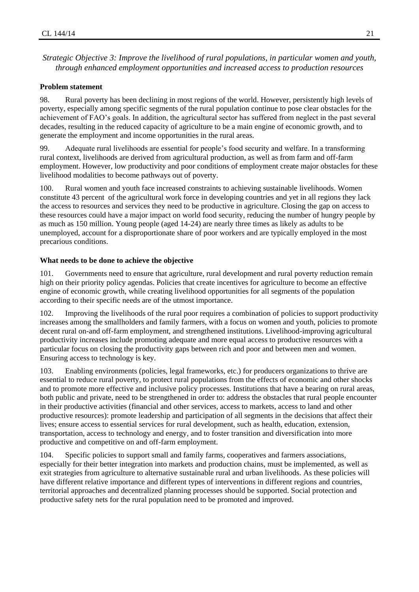<span id="page-20-0"></span>*Strategic Objective 3: Improve the livelihood of rural populations, in particular women and youth, through enhanced employment opportunities and increased access to production resources*

#### **Problem statement**

98. Rural poverty has been declining in most regions of the world. However, persistently high levels of poverty, especially among specific segments of the rural population continue to pose clear obstacles for the achievement of FAO's goals. In addition, the agricultural sector has suffered from neglect in the past several decades, resulting in the reduced capacity of agriculture to be a main engine of economic growth, and to generate the employment and income opportunities in the rural areas.

99. Adequate rural livelihoods are essential for people's food security and welfare. In a transforming rural context, livelihoods are derived from agricultural production, as well as from farm and off-farm employment. However, low productivity and poor conditions of employment create major obstacles for these livelihood modalities to become pathways out of poverty.

100. Rural women and youth face increased constraints to achieving sustainable livelihoods. Women constitute 43 percent of the agricultural work force in developing countries and yet in all regions they lack the access to resources and services they need to be productive in agriculture. Closing the gap on access to these resources could have a major impact on world food security, reducing the number of hungry people by as much as 150 million. Young people (aged 14-24) are nearly three times as likely as adults to be unemployed, account for a disproportionate share of poor workers and are typically employed in the most precarious conditions.

#### **What needs to be done to achieve the objective**

101. Governments need to ensure that agriculture, rural development and rural poverty reduction remain high on their priority policy agendas. Policies that create incentives for agriculture to become an effective engine of economic growth, while creating livelihood opportunities for all segments of the population according to their specific needs are of the utmost importance.

102. Improving the livelihoods of the rural poor requires a combination of policies to support productivity increases among the smallholders and family farmers, with a focus on women and youth, policies to promote decent rural on-and off-farm employment, and strengthened institutions. Livelihood-improving agricultural productivity increases include promoting adequate and more equal access to productive resources with a particular focus on closing the productivity gaps between rich and poor and between men and women. Ensuring access to technology is key.

103. Enabling environments (policies, legal frameworks, etc.) for producers organizations to thrive are essential to reduce rural poverty, to protect rural populations from the effects of economic and other shocks and to promote more effective and inclusive policy processes. Institutions that have a bearing on rural areas, both public and private, need to be strengthened in order to: address the obstacles that rural people encounter in their productive activities (financial and other services, access to markets, access to land and other productive resources): promote leadership and participation of all segments in the decisions that affect their lives; ensure access to essential services for rural development, such as health, education, extension, transportation, access to technology and energy, and to foster transition and diversification into more productive and competitive on and off-farm employment.

104. Specific policies to support small and family farms, cooperatives and farmers associations, especially for their better integration into markets and production chains, must be implemented, as well as exit strategies from agriculture to alternative sustainable rural and urban livelihoods. As these policies will have different relative importance and different types of interventions in different regions and countries, territorial approaches and decentralized planning processes should be supported. Social protection and productive safety nets for the rural population need to be promoted and improved.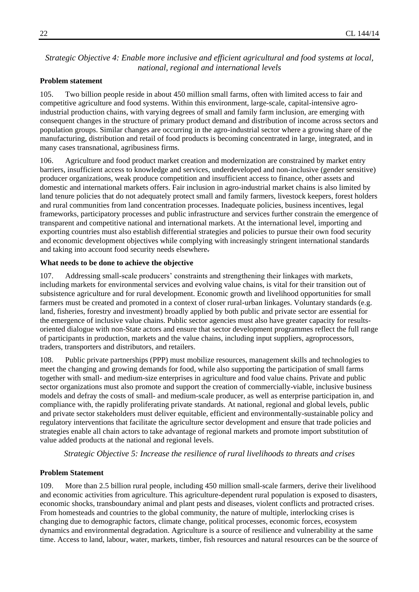## <span id="page-21-0"></span>*Strategic Objective 4: Enable more inclusive and efficient agricultural and food systems at local, national, regional and international levels*

## **Problem statement**

105. Two billion people reside in about 450 million small farms, often with limited access to fair and competitive agriculture and food systems. Within this environment, large-scale, capital-intensive agroindustrial production chains, with varying degrees of small and family farm inclusion, are emerging with consequent changes in the structure of primary product demand and distribution of income across sectors and population groups. Similar changes are occurring in the agro-industrial sector where a growing share of the manufacturing, distribution and retail of food products is becoming concentrated in large, integrated, and in many cases transnational, agribusiness firms.

106. Agriculture and food product market creation and modernization are constrained by market entry barriers, insufficient access to knowledge and services, underdeveloped and non-inclusive (gender sensitive) producer organizations, weak produce competition and insufficient access to finance, other assets and domestic and international markets offers. Fair inclusion in agro-industrial market chains is also limited by land tenure policies that do not adequately protect small and family farmers, livestock keepers, forest holders and rural communities from land concentration processes. Inadequate policies, business incentives, legal frameworks, participatory processes and public infrastructure and services further constrain the emergence of transparent and competitive national and international markets. At the international level, importing and exporting countries must also establish differential strategies and policies to pursue their own food security and economic development objectives while complying with increasingly stringent international standards and taking into account food security needs elsewhere.

## **What needs to be done to achieve the objective**

107. Addressing small-scale producers' constraints and strengthening their linkages with markets, including markets for environmental services and evolving value chains, is vital for their transition out of subsistence agriculture and for rural development. Economic growth and livelihood opportunities for small farmers must be created and promoted in a context of closer rural-urban linkages. Voluntary standards (e.g. land, fisheries, forestry and investment) broadly applied by both public and private sector are essential for the emergence of inclusive value chains. Public sector agencies must also have greater capacity for resultsoriented dialogue with non-State actors and ensure that sector development programmes reflect the full range of participants in production, markets and the value chains, including input suppliers, agroprocessors, traders, transporters and distributors, and retailers.

108. Public private partnerships (PPP) must mobilize resources, management skills and technologies to meet the changing and growing demands for food, while also supporting the participation of small farms together with small- and medium-size enterprises in agriculture and food value chains. Private and public sector organizations must also promote and support the creation of commercially-viable, inclusive business models and defray the costs of small- and medium-scale producer, as well as enterprise participation in, and compliance with, the rapidly proliferating private standards. At national, regional and global levels, public and private sector stakeholders must deliver equitable, efficient and environmentally-sustainable policy and regulatory interventions that facilitate the agriculture sector development and ensure that trade policies and strategies enable all chain actors to take advantage of regional markets and promote import substitution of value added products at the national and regional levels.

*Strategic Objective 5: Increase the resilience of rural livelihoods to threats and crises*

## <span id="page-21-1"></span>**Problem Statement**

109. More than 2.5 billion rural people, including 450 million small-scale farmers, derive their livelihood and economic activities from agriculture. This agriculture-dependent rural population is exposed to disasters, economic shocks, transboundary animal and plant pests and diseases, violent conflicts and protracted crises. From homesteads and countries to the global community, the nature of multiple, interlocking crises is changing due to demographic factors, climate change, political processes, economic forces, ecosystem dynamics and environmental degradation. Agriculture is a source of resilience and vulnerability at the same time. Access to land, labour, water, markets, timber, fish resources and natural resources can be the source of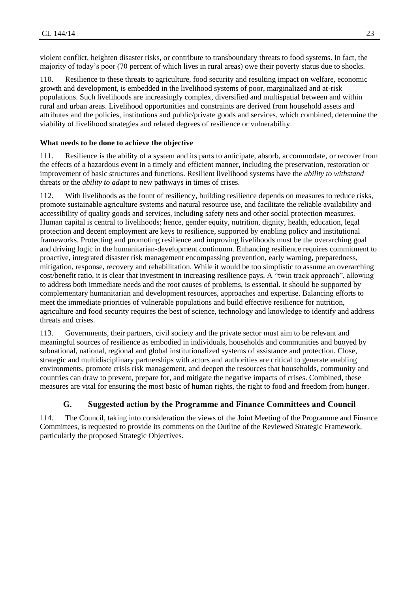violent conflict, heighten disaster risks, or contribute to transboundary threats to food systems. In fact, the majority of today's poor (70 percent of which lives in rural areas) owe their poverty status due to shocks.

110. Resilience to these threats to agriculture, food security and resulting impact on welfare, economic growth and development, is embedded in the livelihood systems of poor, marginalized and at-risk populations. Such livelihoods are increasingly complex, diversified and multispatial between and within rural and urban areas. Livelihood opportunities and constraints are derived from household assets and attributes and the policies, institutions and public/private goods and services, which combined, determine the viability of livelihood strategies and related degrees of resilience or vulnerability.

#### **What needs to be done to achieve the objective**

111. Resilience is the ability of a system and its parts to anticipate, absorb, accommodate, or recover from the effects of a hazardous event in a timely and efficient manner, including the preservation, restoration or improvement of basic structures and functions. Resilient livelihood systems have the *ability to withstand* threats or the *ability to adapt* to new pathways in times of crises.

112. With livelihoods as the fount of resiliency, building resilience depends on measures to reduce risks, promote sustainable agriculture systems and natural resource use, and facilitate the reliable availability and accessibility of quality goods and services, including safety nets and other social protection measures. Human capital is central to livelihoods; hence, gender equity, nutrition, dignity, health, education, legal protection and decent employment are keys to resilience, supported by enabling policy and institutional frameworks. Protecting and promoting resilience and improving livelihoods must be the overarching goal and driving logic in the humanitarian-development continuum. Enhancing resilience requires commitment to proactive, integrated disaster risk management encompassing prevention, early warning, preparedness, mitigation, response, recovery and rehabilitation. While it would be too simplistic to assume an overarching cost/benefit ratio, it is clear that investment in increasing resilience pays. A "twin track approach", allowing to address both immediate needs and the root causes of problems, is essential. It should be supported by complementary humanitarian and development resources, approaches and expertise. Balancing efforts to meet the immediate priorities of vulnerable populations and build effective resilience for nutrition, agriculture and food security requires the best of science, technology and knowledge to identify and address threats and crises.

113. Governments, their partners, civil society and the private sector must aim to be relevant and meaningful sources of resilience as embodied in individuals, households and communities and buoyed by subnational, national, regional and global institutionalized systems of assistance and protection. Close, strategic and multidisciplinary partnerships with actors and authorities are critical to generate enabling environments, promote crisis risk management, and deepen the resources that households, community and countries can draw to prevent, prepare for, and mitigate the negative impacts of crises. Combined, these measures are vital for ensuring the most basic of human rights, the right to food and freedom from hunger.

## **G. Suggested action by the Programme and Finance Committees and Council**

<span id="page-22-0"></span>114. The Council, taking into consideration the views of the Joint Meeting of the Programme and Finance Committees, is requested to provide its comments on the Outline of the Reviewed Strategic Framework, particularly the proposed Strategic Objectives.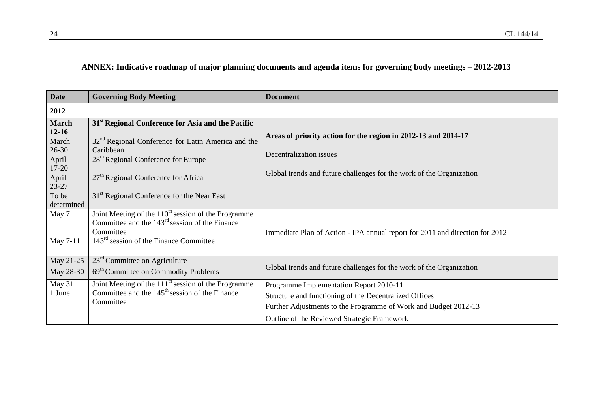## **ANNEX: Indicative roadmap of major planning documents and agenda items for governing body meetings – 2012-2013**

<span id="page-23-0"></span>

| <b>Date</b>    | <b>Governing Body Meeting</b>                                           | <b>Document</b>                                                              |
|----------------|-------------------------------------------------------------------------|------------------------------------------------------------------------------|
| 2012           |                                                                         |                                                                              |
| <b>March</b>   | 31 <sup>st</sup> Regional Conference for Asia and the Pacific           |                                                                              |
| $12 - 16$      |                                                                         | Areas of priority action for the region in 2012-13 and 2014-17               |
| March          | 32 <sup>nd</sup> Regional Conference for Latin America and the          |                                                                              |
| $26 - 30$      | Caribbean<br>28 <sup>th</sup> Regional Conference for Europe            | Decentralization issues                                                      |
| April<br>17-20 |                                                                         |                                                                              |
| April          | 27 <sup>th</sup> Regional Conference for Africa                         | Global trends and future challenges for the work of the Organization         |
| 23-27          |                                                                         |                                                                              |
| To be          | 31 <sup>st</sup> Regional Conference for the Near East                  |                                                                              |
| determined     |                                                                         |                                                                              |
| May 7          | Joint Meeting of the $110^{th}$ session of the Programme                |                                                                              |
|                | Committee and the $143rd$ session of the Finance                        |                                                                              |
| May 7-11       | Committee<br>$143rd$ session of the Finance Committee                   | Immediate Plan of Action - IPA annual report for 2011 and direction for 2012 |
|                |                                                                         |                                                                              |
| May 21-25      | $23rd$ Committee on Agriculture                                         |                                                                              |
| May 28-30      | 69 <sup>th</sup> Committee on Commodity Problems                        | Global trends and future challenges for the work of the Organization         |
| May 31         | Joint Meeting of the $111th$ session of the Programme                   | Programme Implementation Report 2010-11                                      |
| 1 June         | Committee and the 145 <sup>th</sup> session of the Finance<br>Committee | Structure and functioning of the Decentralized Offices                       |
|                |                                                                         | Further Adjustments to the Programme of Work and Budget 2012-13              |
|                |                                                                         | Outline of the Reviewed Strategic Framework                                  |